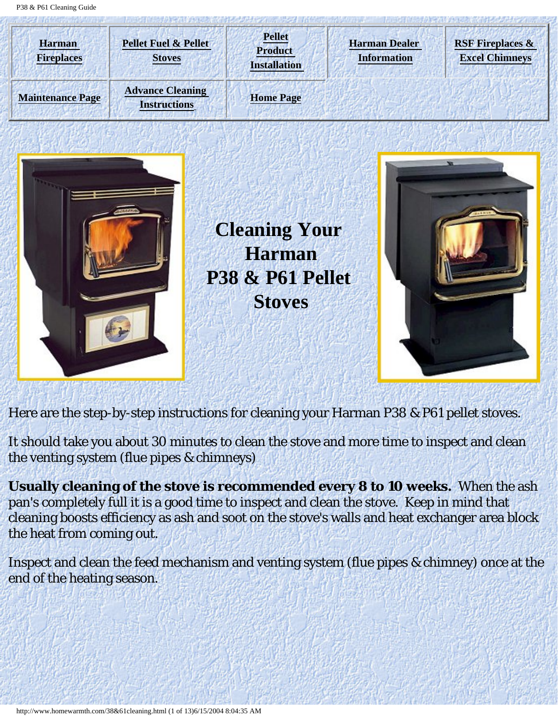<span id="page-0-0"></span>P38 & P61 Cleaning Guide







Here are the step-by-step instructions for cleaning your Harman P38 & P61 pellet stoves.

It should take you about 30 minutes to clean the stove and more time to inspect and clean the venting system (flue pipes & chimneys)

**Usually cleaning of the stove is recommended every 8 to 10 weeks.** When the ash pan's completely full it is a good time to inspect and clean the stove. Keep in mind that cleaning boosts efficiency as ash and soot on the stove's walls and heat exchanger area block the heat from coming out.

Inspect and clean the feed mechanism and venting system (flue pipes & chimney) once at the end of the heating season.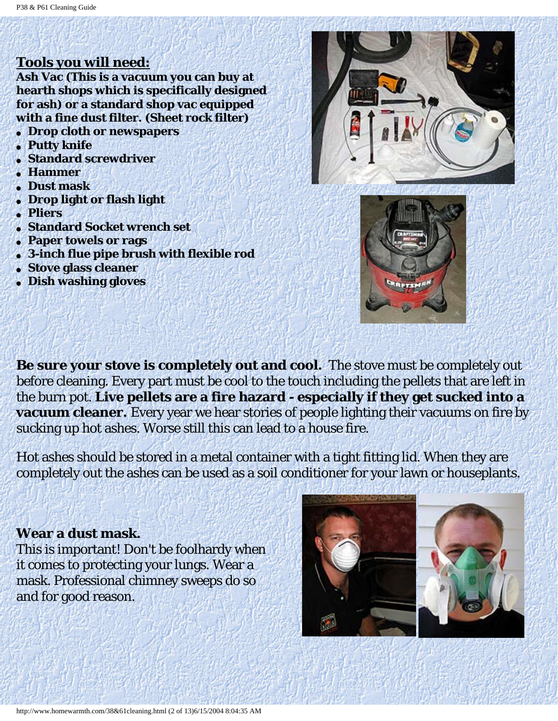### **Tools you will need:**

**Ash Vac (This is a vacuum you can buy at hearth shops which is specifically designed for ash) or a standard shop vac equipped with a fine dust filter. (Sheet rock filter)** 

- **Drop cloth or newspapers**
- **Putty knife**
- **Standard screwdriver**
- **Hammer**
- **Dust mask**
- **Drop light or flash light**
- **Pliers**
- **Standard Socket wrench set**
- **Paper towels or rags**
- **3-inch flue pipe brush with flexible rod**
- **Stove glass cleaner**
- **Dish washing gloves**





**Be sure your stove is completely out and cool.** The stove must be completely out before cleaning. Every part must be cool to the touch including the pellets that are left in the burn pot. **Live pellets are a fire hazard - especially if they get sucked into a vacuum cleaner.** Every year we hear stories of people lighting their vacuums on fire by sucking up hot ashes. Worse still this can lead to a house fire.

Hot ashes should be stored in a metal container with a tight fitting lid. When they are completely out the ashes can be used as a soil conditioner for your lawn or houseplants.

#### **Wear a dust mask.**

This is important! Don't be foolhardy when it comes to protecting your lungs. Wear a mask. Professional chimney sweeps do so and for good reason.



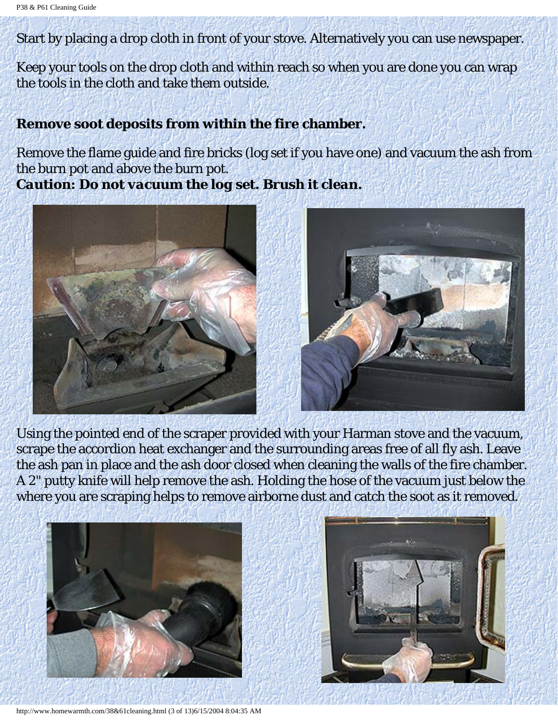Start by placing a drop cloth in front of your stove. Alternatively you can use newspaper.

Keep your tools on the drop cloth and within reach so when you are done you can wrap the tools in the cloth and take them outside.

#### **Remove soot deposits from within the fire chamber.**

Remove the flame guide and fire bricks (log set if you have one) and vacuum the ash from the burn pot and above the burn pot. *Caution: Do not vacuum the log set. Brush it clean.*





Using the pointed end of the scraper provided with your Harman stove and the vacuum, scrape the accordion heat exchanger and the surrounding areas free of all fly ash. Leave the ash pan in place and the ash door closed when cleaning the walls of the fire chamber. A 2" putty knife will help remove the ash. Holding the hose of the vacuum just below the where you are scraping helps to remove airborne dust and catch the soot as it removed.





http://www.homewarmth.com/38&61cleaning.html (3 of 13)6/15/2004 8:04:35 AM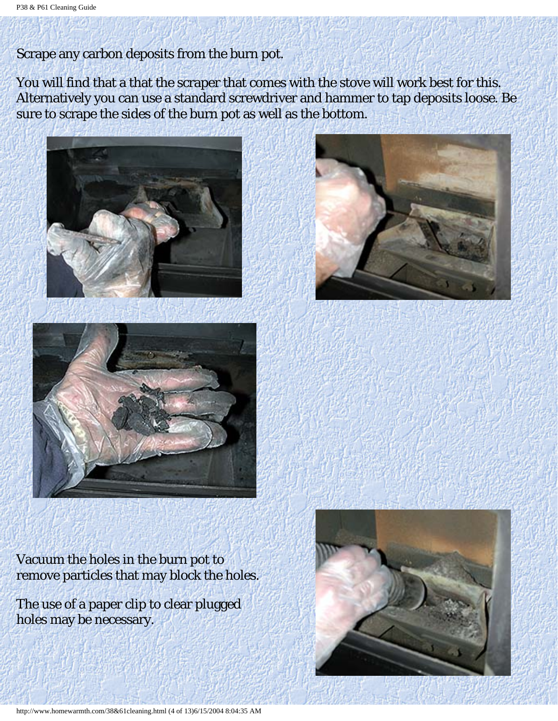### Scrape any carbon deposits from the burn pot.

You will find that a that the scraper that comes with the stove will work best for this. Alternatively you can use a standard screwdriver and hammer to tap deposits loose. Be sure to scrape the sides of the burn pot as well as the bottom.









Vacuum the holes in the burn pot to remove particles that may block the holes.

The use of a paper clip to clear plugged holes may be necessary.

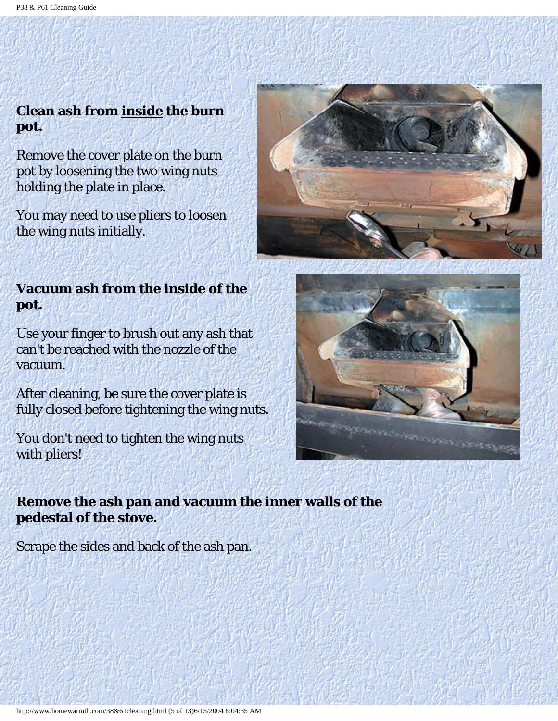# **Clean ash from inside the burn pot.**

Remove the cover plate on the burn pot by loosening the two wing nuts holding the plate in place.

You may need to use pliers to loosen the wing nuts initially.

# **Vacuum ash from the inside of the pot.**

Use your finger to brush out any ash that can't be reached with the nozzle of the vacuum.

After cleaning, be sure the cover plate is fully closed before tightening the wing nuts.

You don't need to tighten the wing nuts with pliers!

**Remove the ash pan and vacuum the inner walls of the pedestal of the stove.**

Scrape the sides and back of the ash pan.



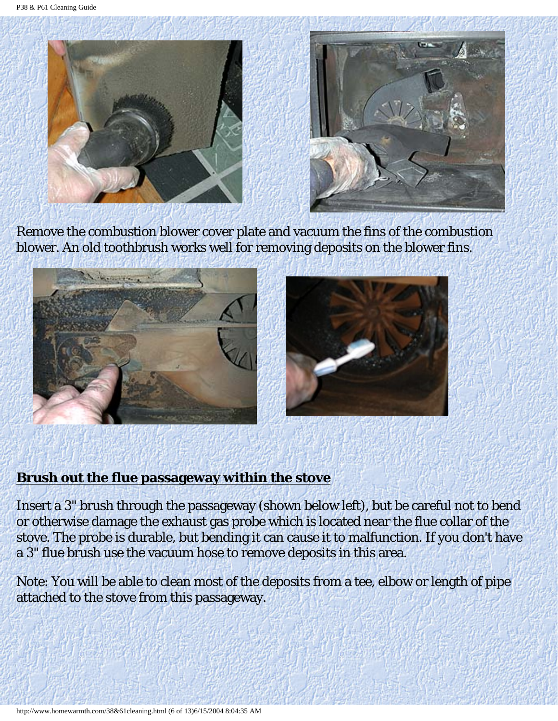



Remove the combustion blower cover plate and vacuum the fins of the combustion blower. An old toothbrush works well for removing deposits on the blower fins.



### **Brush out the flue passageway within the stove**

Insert a 3" brush through the passageway (shown below left), but be careful not to bend or otherwise damage the exhaust gas probe which is located near the flue collar of the stove. The probe is durable, but bending it can cause it to malfunction. If you don't have a 3" flue brush use the vacuum hose to remove deposits in this area.

Note: You will be able to clean most of the deposits from a tee, elbow or length of pipe attached to the stove from this passageway.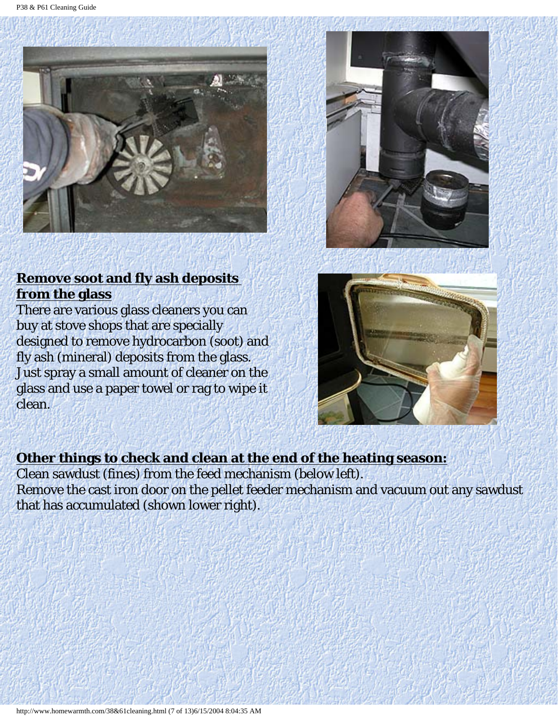



## **Remove soot and fly ash deposits from the glass**

There are various glass cleaners you can buy at stove shops that are specially designed to remove hydrocarbon (soot) and fly ash (mineral) deposits from the glass. Just spray a small amount of cleaner on the glass and use a paper towel or rag to wipe it clean.



## **Other things to check and clean at the end of the heating season:**

Clean sawdust (fines) from the feed mechanism (below left). Remove the cast iron door on the pellet feeder mechanism and vacuum out any sawdust that has accumulated (shown lower right).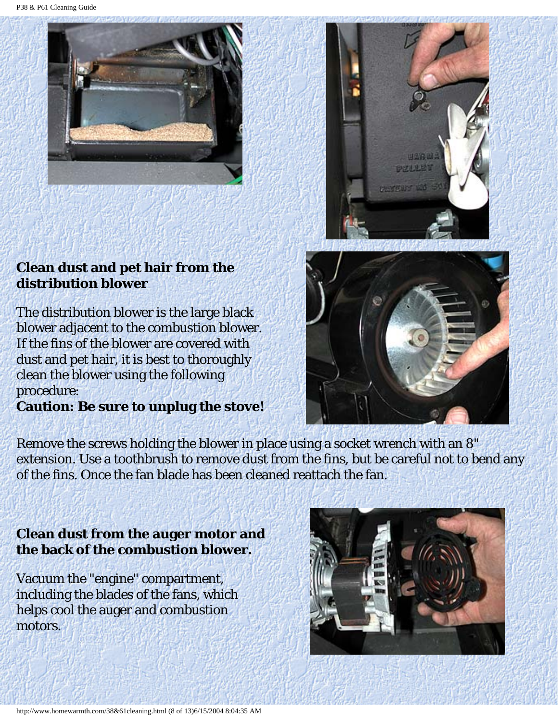P38 & P61 Cleaning Guide





# **Clean dust and pet hair from the distribution blower**

The distribution blower is the large black blower adjacent to the combustion blower. If the fins of the blower are covered with dust and pet hair, it is best to thoroughly clean the blower using the following procedure:

**Caution: Be sure to unplug the stove!**



Remove the screws holding the blower in place using a socket wrench with an 8" extension. Use a toothbrush to remove dust from the fins, but be careful not to bend any of the fins. Once the fan blade has been cleaned reattach the fan.

# **Clean dust from the auger motor and the back of the combustion blower.**

Vacuum the "engine" compartment, including the blades of the fans, which helps cool the auger and combustion motors.

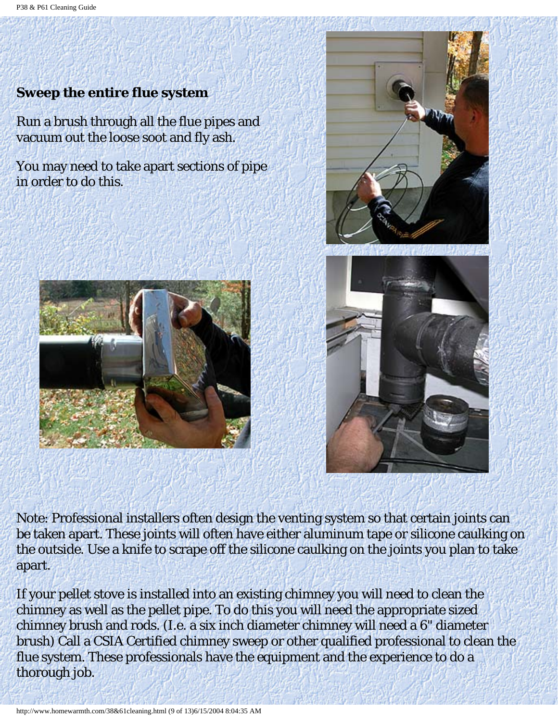# **Sweep the entire flue system**

Run a brush through all the flue pipes and vacuum out the loose soot and fly ash.

You may need to take apart sections of pipe in order to do this.





Note: Professional installers often design the venting system so that certain joints can be taken apart. These joints will often have either aluminum tape or silicone caulking on the outside. Use a knife to scrape off the silicone caulking on the joints you plan to take apart.

If your pellet stove is installed into an existing chimney you will need to clean the chimney as well as the pellet pipe. To do this you will need the appropriate sized chimney brush and rods. (I.e. a six inch diameter chimney will need a 6" diameter brush) Call a CSIA Certified chimney sweep or other qualified professional to clean the flue system. These professionals have the equipment and the experience to do a thorough job.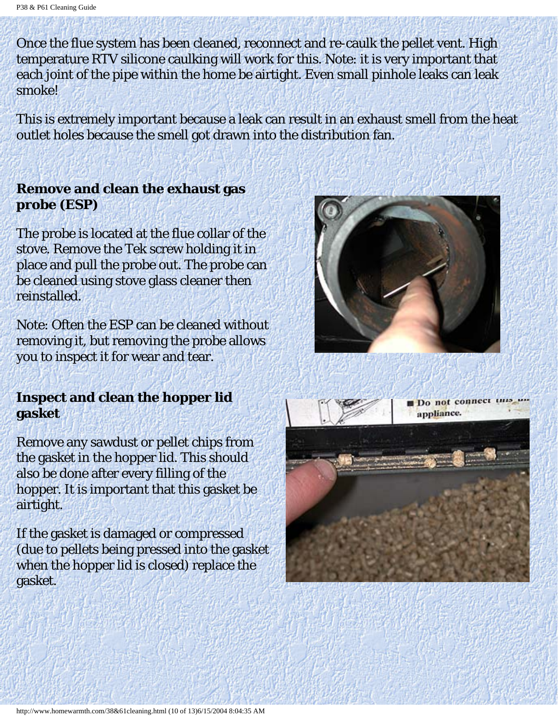Once the flue system has been cleaned, reconnect and re-caulk the pellet vent. High temperature RTV silicone caulking will work for this. Note: it is very important that each joint of the pipe within the home be airtight. Even small pinhole leaks can leak smoke!

This is extremely important because a leak can result in an exhaust smell from the heat outlet holes because the smell got drawn into the distribution fan.

### **Remove and clean the exhaust gas probe (ESP)**

The probe is located at the flue collar of the stove. Remove the Tek screw holding it in place and pull the probe out. The probe can be cleaned using stove glass cleaner then reinstalled.

Note: Often the ESP can be cleaned without removing it, but removing the probe allows you to inspect it for wear and tear.

### **Inspect and clean the hopper lid gasket**

Remove any sawdust or pellet chips from the gasket in the hopper lid. This should also be done after every filling of the hopper. It is important that this gasket be airtight.

If the gasket is damaged or compressed (due to pellets being pressed into the gasket when the hopper lid is closed) replace the gasket.





Do not connect this un appliance.

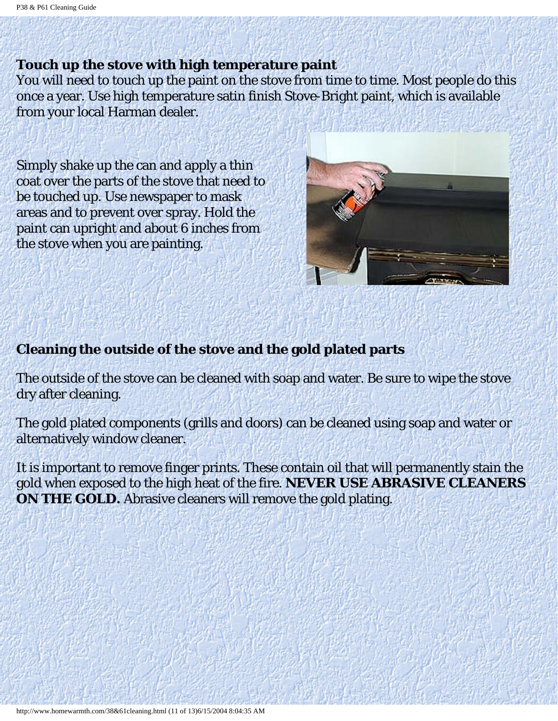#### **Touch up the stove with high temperature paint**

You will need to touch up the paint on the stove from time to time. Most people do this once a year. Use high temperature satin finish Stove-Bright paint, which is available from your local Harman dealer.

Simply shake up the can and apply a thin coat over the parts of the stove that need to be touched up. Use newspaper to mask areas and to prevent over spray. Hold the paint can upright and about 6 inches from the stove when you are painting.



## **Cleaning the outside of the stove and the gold plated parts**

The outside of the stove can be cleaned with soap and water. Be sure to wipe the stove dry after cleaning.

The gold plated components (grills and doors) can be cleaned using soap and water or alternatively window cleaner.

It is important to remove finger prints. These contain oil that will permanently stain the gold when exposed to the high heat of the fire. **NEVER USE ABRASIVE CLEANERS ON THE GOLD.** Abrasive cleaners will remove the gold plating.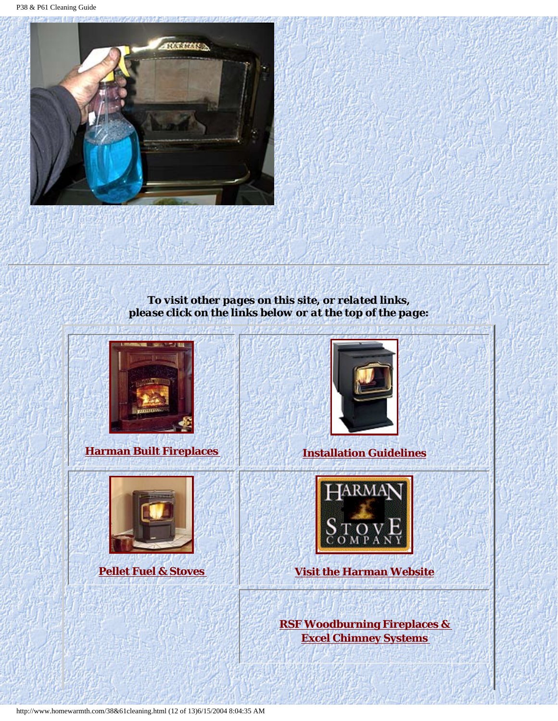

*To visit other pages on this site, or related links, please click on the links below or at the top of the page:*



**[Harman Built Fireplaces](http://www.homewarmth.com/fireplaces.html) [Installation Guidelines](http://www.homewarmth.com/installation.html)**







**[Pellet Fuel & Stoves](http://www.homewarmth.com/pellets.html) [Visit the Harman Website](http://www.harmanstoves.com/default.htm)**

**[RSF Woodburning Fireplaces &](http://www.icc-rsf.com/) [Excel Chimney Systems](http://www.icc-rsf.com/)**